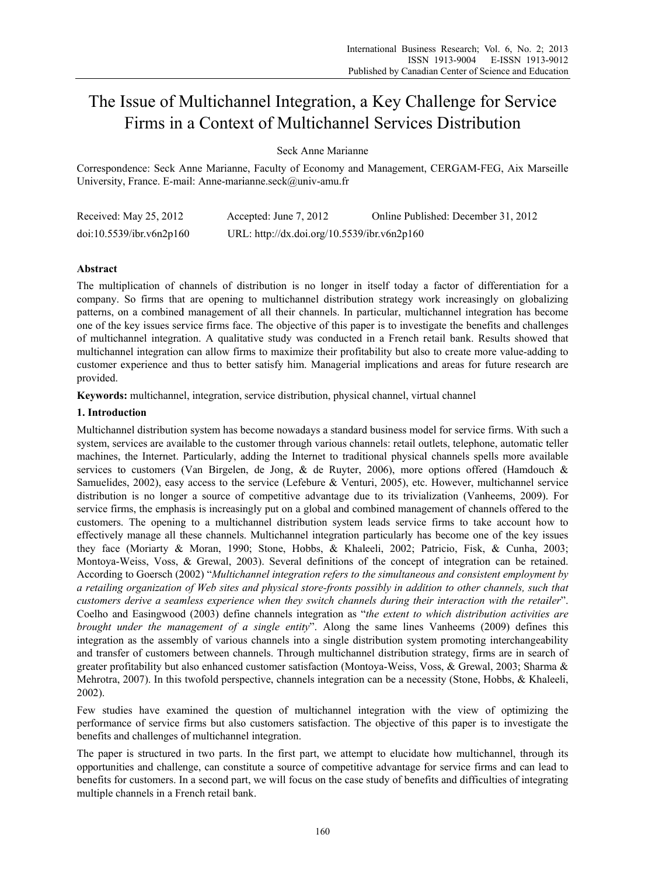# The Issue of Multichannel Integration, a Key Challenge for Service Firms in a Context of Multichannel Services Distribution

Seck A Anne Marianne

Seck Anne Marianne<br>Correspondence: Seck Anne Marianne, Faculty of Economy and Management, CERGAM-FEG, Aix Marseille University, France. E-mail: Anne-marianne.seck@univ-amu.fr

| Received: May 25, 2012   | Accepted: June 7, 2012                      | Online Published: December 31, 2012 |
|--------------------------|---------------------------------------------|-------------------------------------|
| doi:10.5539/ibr.v6n2p160 | URL: http://dx.doi.org/10.5539/ibr.v6n2p160 |                                     |

# **Abstract**

The multiplication of channels of distribution is no longer in itself today a factor of differentiation for a company. So firms that are opening to multichannel distribution strategy work increasingly on globalizing patterns, on a combined management of all their channels. In particular, multichannel integration has become one of the key issues service firms face. The objective of this paper is to investigate the benefits and challenges of multichannel integration. A qualitative study was conducted in a French retail bank. Results showed that multichannel integration can allow firms to maximize their profitability but also to create more value-adding to customer experience and thus to better satisfy him. Managerial implications and areas for future research are provided.

Keywords: multichannel, integration, service distribution, physical channel, virtual channel

# 1. Introduction

Multichannel distribution system has become nowadays a standard business model for service firms. With such a system, services are available to the customer through various channels: retail outlets, telephone, automatic teller machines, the Internet. Particularly, adding the Internet to traditional physical channels spells more available services to customers (Van Birgelen, de Jong, & de Ruyter, 2006), more options offered (Hamdouch & Samuelides, 2002), easy access to the service (Lefebure & Venturi, 2005), etc. However, multichannel service distribution is no longer a source of competitive advantage due to its trivialization (Vanheems, 2009). For service firms, the emphasis is increasingly put on a global and combined management of channels offered to the customers. The opening to a multichannel distribution system leads service firms to take account how to effectively manage all these channels. Multichannel integration particularly has become one of the key issues they face (Moriarty & Moran, 1990; Stone, Hobbs, & Khaleeli, 2002; Patricio, Fisk, & Cunha, 2003; Montoya-Weiss, Voss, & Grewal, 2003). Several definitions of the concept of integration can be retained. According to Goersch (2002) "Multichannel integration refers to the simultaneous and consistent employment by a retailing organization of Web sites and physical store-fronts possibly in addition to other channels, such that *customers derive a seamless experience when they switch channels during their interaction with the retailer*". Coelho and Easingwood (2003) define channels integration as "the extent to which distribution activities are *brought under the management of a single entity".* Along the same lines Vanheems (2009) defines this integration as the assembly of various channels into a single distribution system promoting interchangeability and transfer of customers between channels. Through multichannel distribution strategy, firms are in search of greater profitability but also enhanced customer satisfaction (Montoya-Weiss, Voss, & Grewal, 2003; Sharma & Mehrotra, 2007). In this twofold perspective, channels integration can be a necessity (Stone, Hobbs, & Khaleeli, 2002).

Few studies have examined the question of multichannel integration with the view of optimizing the performance of service firms but also customers satisfaction. The objective of this paper is to investigate the benefits and challenges of multichannel integration.

The paper is structured in two parts. In the first part, we attempt to elucidate how multichannel, through its opportunities and challenge, can constitute a source of competitive advantage for service firms and can lead to benefits for customers. In a second part, we will focus on the case study of benefits and difficulties of integrating multiple channels in a French retail bank.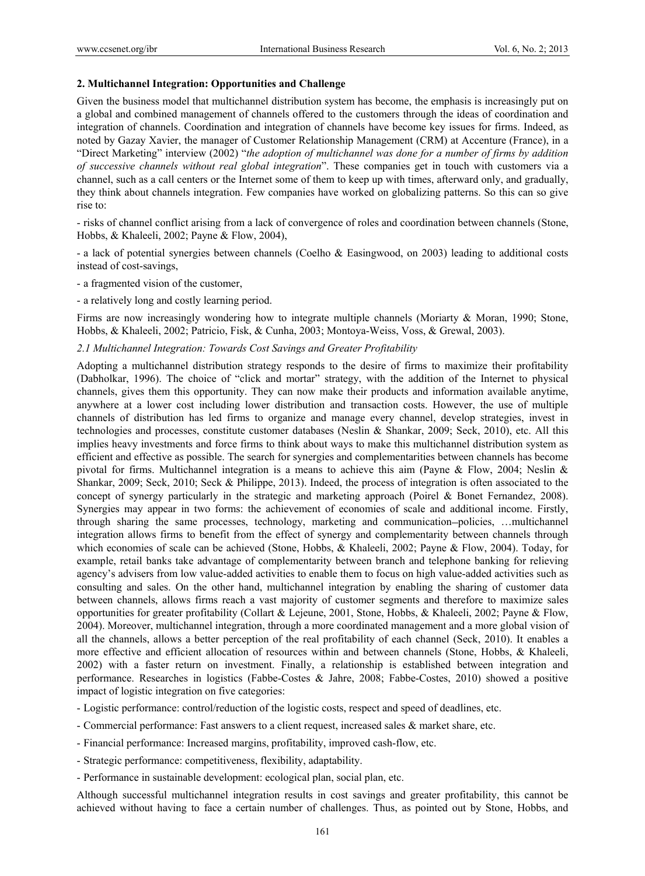## **2. Multichannel Integration: Opportunities and Challenge**

Given the business model that multichannel distribution system has become, the emphasis is increasingly put on a global and combined management of channels offered to the customers through the ideas of coordination and integration of channels. Coordination and integration of channels have become key issues for firms. Indeed, as noted by Gazay Xavier, the manager of Customer Relationship Management (CRM) at Accenture (France), in a "Direct Marketing" interview (2002) "*the adoption of multichannel was done for a number of firms by addition of successive channels without real global integration*". These companies get in touch with customers via a channel, such as a call centers or the Internet some of them to keep up with times, afterward only, and gradually, they think about channels integration. Few companies have worked on globalizing patterns. So this can so give rise to:

- risks of channel conflict arising from a lack of convergence of roles and coordination between channels (Stone, Hobbs, & Khaleeli, 2002; Payne & Flow, 2004),

- a lack of potential synergies between channels (Coelho & Easingwood, on 2003) leading to additional costs instead of cost-savings,

- a fragmented vision of the customer,

- a relatively long and costly learning period.

Firms are now increasingly wondering how to integrate multiple channels (Moriarty & Moran, 1990; Stone, Hobbs, & Khaleeli, 2002; Patricio, Fisk, & Cunha, 2003; Montoya-Weiss, Voss, & Grewal, 2003).

*2.1 Multichannel Integration: Towards Cost Savings and Greater Profitability* 

Adopting a multichannel distribution strategy responds to the desire of firms to maximize their profitability (Dabholkar, 1996). The choice of "click and mortar" strategy, with the addition of the Internet to physical channels, gives them this opportunity. They can now make their products and information available anytime, anywhere at a lower cost including lower distribution and transaction costs. However, the use of multiple channels of distribution has led firms to organize and manage every channel, develop strategies, invest in technologies and processes, constitute customer databases (Neslin & Shankar, 2009; Seck, 2010), etc. All this implies heavy investments and force firms to think about ways to make this multichannel distribution system as efficient and effective as possible. The search for synergies and complementarities between channels has become pivotal for firms. Multichannel integration is a means to achieve this aim (Payne & Flow, 2004; Neslin & Shankar, 2009; Seck, 2010; Seck & Philippe, 2013). Indeed, the process of integration is often associated to the concept of synergy particularly in the strategic and marketing approach (Poirel & Bonet Fernandez, 2008). Synergies may appear in two forms: the achievement of economies of scale and additional income. Firstly, through sharing the same processes, technology, marketing and communication policies, …multichannel integration allows firms to benefit from the effect of synergy and complementarity between channels through which economies of scale can be achieved (Stone, Hobbs, & Khaleeli, 2002; Payne & Flow, 2004). Today, for example, retail banks take advantage of complementarity between branch and telephone banking for relieving agency's advisers from low value-added activities to enable them to focus on high value-added activities such as consulting and sales. On the other hand, multichannel integration by enabling the sharing of customer data between channels, allows firms reach a vast majority of customer segments and therefore to maximize sales opportunities for greater profitability (Collart & Lejeune, 2001, Stone, Hobbs, & Khaleeli, 2002; Payne & Flow, 2004). Moreover, multichannel integration, through a more coordinated management and a more global vision of all the channels, allows a better perception of the real profitability of each channel (Seck, 2010). It enables a more effective and efficient allocation of resources within and between channels (Stone, Hobbs, & Khaleeli, 2002) with a faster return on investment. Finally, a relationship is established between integration and performance. Researches in logistics (Fabbe-Costes & Jahre, 2008; Fabbe-Costes, 2010) showed a positive impact of logistic integration on five categories:

- Logistic performance: control/reduction of the logistic costs, respect and speed of deadlines, etc.
- Commercial performance: Fast answers to a client request, increased sales & market share, etc.
- Financial performance: Increased margins, profitability, improved cash-flow, etc.
- Strategic performance: competitiveness, flexibility, adaptability.
- Performance in sustainable development: ecological plan, social plan, etc.

Although successful multichannel integration results in cost savings and greater profitability, this cannot be achieved without having to face a certain number of challenges. Thus, as pointed out by Stone, Hobbs, and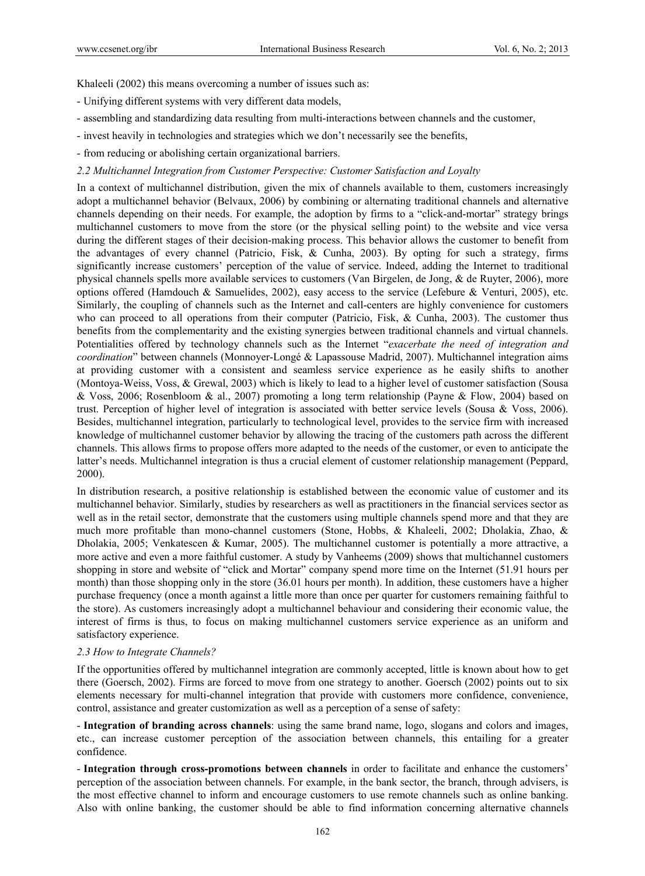Khaleeli (2002) this means overcoming a number of issues such as:

- Unifying different systems with very different data models,
- assembling and standardizing data resulting from multi-interactions between channels and the customer,
- invest heavily in technologies and strategies which we don't necessarily see the benefits,
- from reducing or abolishing certain organizational barriers.

## *2.2 Multichannel Integration from Customer Perspective: Customer Satisfaction and Loyalty*

In a context of multichannel distribution, given the mix of channels available to them, customers increasingly adopt a multichannel behavior (Belvaux, 2006) by combining or alternating traditional channels and alternative channels depending on their needs. For example, the adoption by firms to a "click-and-mortar" strategy brings multichannel customers to move from the store (or the physical selling point) to the website and vice versa during the different stages of their decision-making process. This behavior allows the customer to benefit from the advantages of every channel (Patricio, Fisk, & Cunha, 2003). By opting for such a strategy, firms significantly increase customers' perception of the value of service. Indeed, adding the Internet to traditional physical channels spells more available services to customers (Van Birgelen, de Jong, & de Ruyter, 2006), more options offered (Hamdouch & Samuelides, 2002), easy access to the service (Lefebure & Venturi, 2005), etc. Similarly, the coupling of channels such as the Internet and call-centers are highly convenience for customers who can proceed to all operations from their computer (Patricio, Fisk, & Cunha, 2003). The customer thus benefits from the complementarity and the existing synergies between traditional channels and virtual channels. Potentialities offered by technology channels such as the Internet "*exacerbate the need of integration and coordination*" between channels (Monnoyer-Longé & Lapassouse Madrid, 2007). Multichannel integration aims at providing customer with a consistent and seamless service experience as he easily shifts to another (Montoya-Weiss, Voss, & Grewal, 2003) which is likely to lead to a higher level of customer satisfaction (Sousa & Voss, 2006; Rosenbloom & al., 2007) promoting a long term relationship (Payne & Flow, 2004) based on trust. Perception of higher level of integration is associated with better service levels (Sousa & Voss, 2006). Besides, multichannel integration, particularly to technological level, provides to the service firm with increased knowledge of multichannel customer behavior by allowing the tracing of the customers path across the different channels. This allows firms to propose offers more adapted to the needs of the customer, or even to anticipate the latter's needs. Multichannel integration is thus a crucial element of customer relationship management (Peppard, 2000).

In distribution research, a positive relationship is established between the economic value of customer and its multichannel behavior. Similarly, studies by researchers as well as practitioners in the financial services sector as well as in the retail sector, demonstrate that the customers using multiple channels spend more and that they are much more profitable than mono-channel customers (Stone, Hobbs, & Khaleeli, 2002; Dholakia, Zhao, & Dholakia, 2005; Venkatescen & Kumar, 2005). The multichannel customer is potentially a more attractive, a more active and even a more faithful customer. A study by Vanheems (2009) shows that multichannel customers shopping in store and website of "click and Mortar" company spend more time on the Internet (51.91 hours per month) than those shopping only in the store (36.01 hours per month). In addition, these customers have a higher purchase frequency (once a month against a little more than once per quarter for customers remaining faithful to the store). As customers increasingly adopt a multichannel behaviour and considering their economic value, the interest of firms is thus, to focus on making multichannel customers service experience as an uniform and satisfactory experience.

## *2.3 How to Integrate Channels?*

If the opportunities offered by multichannel integration are commonly accepted, little is known about how to get there (Goersch, 2002). Firms are forced to move from one strategy to another. Goersch (2002) points out to six elements necessary for multi-channel integration that provide with customers more confidence, convenience, control, assistance and greater customization as well as a perception of a sense of safety:

- **Integration of branding across channels**: using the same brand name, logo, slogans and colors and images, etc., can increase customer perception of the association between channels, this entailing for a greater confidence.

- **Integration through cross-promotions between channels** in order to facilitate and enhance the customers' perception of the association between channels. For example, in the bank sector, the branch, through advisers, is the most effective channel to inform and encourage customers to use remote channels such as online banking. Also with online banking, the customer should be able to find information concerning alternative channels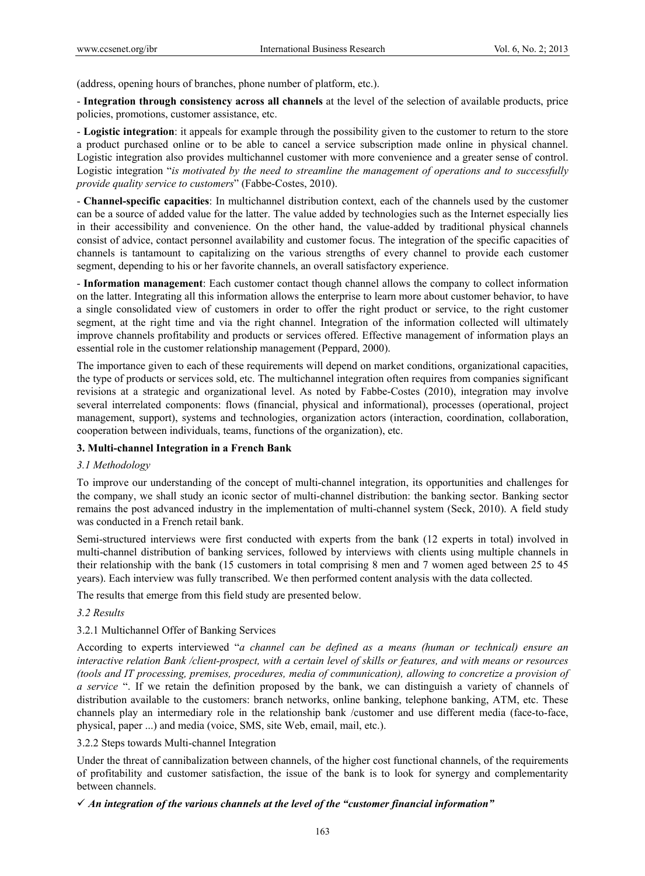(address, opening hours of branches, phone number of platform, etc.).

- **Integration through consistency across all channels** at the level of the selection of available products, price policies, promotions, customer assistance, etc.

- **Logistic integration**: it appeals for example through the possibility given to the customer to return to the store a product purchased online or to be able to cancel a service subscription made online in physical channel. Logistic integration also provides multichannel customer with more convenience and a greater sense of control. Logistic integration "*is motivated by the need to streamline the management of operations and to successfully provide quality service to customers*" (Fabbe-Costes, 2010).

- **Channel-specific capacities**: In multichannel distribution context, each of the channels used by the customer can be a source of added value for the latter. The value added by technologies such as the Internet especially lies in their accessibility and convenience. On the other hand, the value-added by traditional physical channels consist of advice, contact personnel availability and customer focus. The integration of the specific capacities of channels is tantamount to capitalizing on the various strengths of every channel to provide each customer segment, depending to his or her favorite channels, an overall satisfactory experience.

- **Information management**: Each customer contact though channel allows the company to collect information on the latter. Integrating all this information allows the enterprise to learn more about customer behavior, to have a single consolidated view of customers in order to offer the right product or service, to the right customer segment, at the right time and via the right channel. Integration of the information collected will ultimately improve channels profitability and products or services offered. Effective management of information plays an essential role in the customer relationship management (Peppard, 2000).

The importance given to each of these requirements will depend on market conditions, organizational capacities, the type of products or services sold, etc. The multichannel integration often requires from companies significant revisions at a strategic and organizational level. As noted by Fabbe-Costes (2010), integration may involve several interrelated components: flows (financial, physical and informational), processes (operational, project management, support), systems and technologies, organization actors (interaction, coordination, collaboration, cooperation between individuals, teams, functions of the organization), etc.

## **3. Multi-channel Integration in a French Bank**

#### *3.1 Methodology*

To improve our understanding of the concept of multi-channel integration, its opportunities and challenges for the company, we shall study an iconic sector of multi-channel distribution: the banking sector. Banking sector remains the post advanced industry in the implementation of multi-channel system (Seck, 2010). A field study was conducted in a French retail bank.

Semi-structured interviews were first conducted with experts from the bank (12 experts in total) involved in multi-channel distribution of banking services, followed by interviews with clients using multiple channels in their relationship with the bank (15 customers in total comprising 8 men and 7 women aged between 25 to 45 years). Each interview was fully transcribed. We then performed content analysis with the data collected.

The results that emerge from this field study are presented below.

#### *3.2 Results*

## 3.2.1 Multichannel Offer of Banking Services

According to experts interviewed "*a channel can be defined as a means (human or technical) ensure an interactive relation Bank /client-prospect, with a certain level of skills or features, and with means or resources (tools and IT processing, premises, procedures, media of communication), allowing to concretize a provision of a service* ". If we retain the definition proposed by the bank, we can distinguish a variety of channels of distribution available to the customers: branch networks, online banking, telephone banking, ATM, etc. These channels play an intermediary role in the relationship bank /customer and use different media (face-to-face, physical, paper ...) and media (voice, SMS, site Web, email, mail, etc.).

## 3.2.2 Steps towards Multi-channel Integration

Under the threat of cannibalization between channels, of the higher cost functional channels, of the requirements of profitability and customer satisfaction, the issue of the bank is to look for synergy and complementarity between channels.

#### *An integration of the various channels at the level of the "customer financial information"*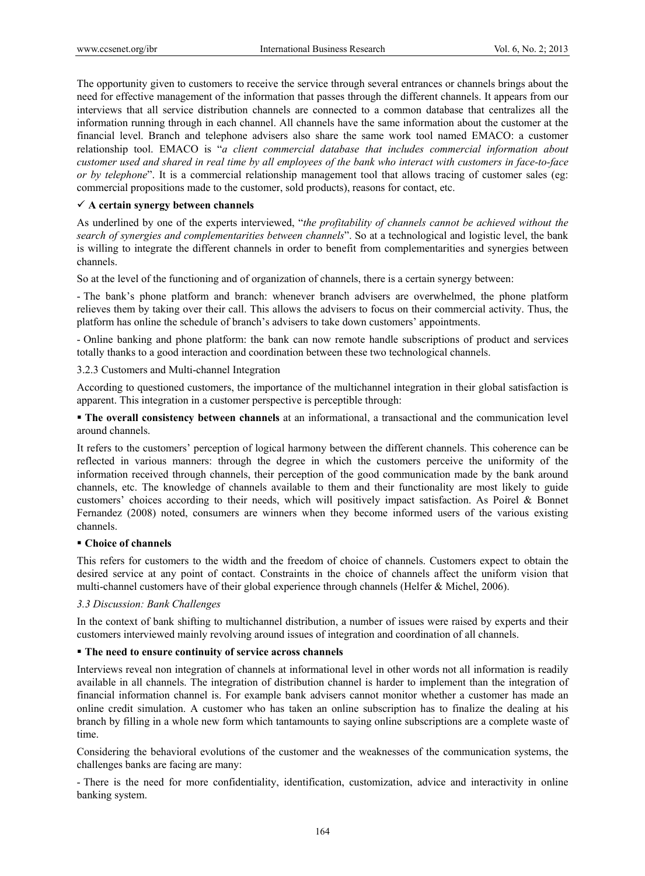The opportunity given to customers to receive the service through several entrances or channels brings about the need for effective management of the information that passes through the different channels. It appears from our interviews that all service distribution channels are connected to a common database that centralizes all the information running through in each channel. All channels have the same information about the customer at the financial level. Branch and telephone advisers also share the same work tool named EMACO: a customer relationship tool. EMACO is "*a client commercial database that includes commercial information about customer used and shared in real time by all employees of the bank who interact with customers in face-to-face or by telephone*". It is a commercial relationship management tool that allows tracing of customer sales (eg: commercial propositions made to the customer, sold products), reasons for contact, etc.

## **A certain synergy between channels**

As underlined by one of the experts interviewed, "*the profitability of channels cannot be achieved without the search of synergies and complementarities between channels*". So at a technological and logistic level, the bank is willing to integrate the different channels in order to benefit from complementarities and synergies between channels.

So at the level of the functioning and of organization of channels, there is a certain synergy between:

- The bank's phone platform and branch: whenever branch advisers are overwhelmed, the phone platform relieves them by taking over their call. This allows the advisers to focus on their commercial activity. Thus, the platform has online the schedule of branch's advisers to take down customers' appointments.

- Online banking and phone platform: the bank can now remote handle subscriptions of product and services totally thanks to a good interaction and coordination between these two technological channels.

## 3.2.3 Customers and Multi-channel Integration

According to questioned customers, the importance of the multichannel integration in their global satisfaction is apparent. This integration in a customer perspective is perceptible through:

 **The overall consistency between channels** at an informational, a transactional and the communication level around channels.

It refers to the customers' perception of logical harmony between the different channels. This coherence can be reflected in various manners: through the degree in which the customers perceive the uniformity of the information received through channels, their perception of the good communication made by the bank around channels, etc. The knowledge of channels available to them and their functionality are most likely to guide customers' choices according to their needs, which will positively impact satisfaction. As Poirel & Bonnet Fernandez (2008) noted, consumers are winners when they become informed users of the various existing channels.

#### **Choice of channels**

This refers for customers to the width and the freedom of choice of channels. Customers expect to obtain the desired service at any point of contact. Constraints in the choice of channels affect the uniform vision that multi-channel customers have of their global experience through channels (Helfer & Michel, 2006).

## *3.3 Discussion: Bank Challenges*

In the context of bank shifting to multichannel distribution, a number of issues were raised by experts and their customers interviewed mainly revolving around issues of integration and coordination of all channels.

#### **The need to ensure continuity of service across channels**

Interviews reveal non integration of channels at informational level in other words not all information is readily available in all channels. The integration of distribution channel is harder to implement than the integration of financial information channel is. For example bank advisers cannot monitor whether a customer has made an online credit simulation. A customer who has taken an online subscription has to finalize the dealing at his branch by filling in a whole new form which tantamounts to saying online subscriptions are a complete waste of time.

Considering the behavioral evolutions of the customer and the weaknesses of the communication systems, the challenges banks are facing are many:

- There is the need for more confidentiality, identification, customization, advice and interactivity in online banking system.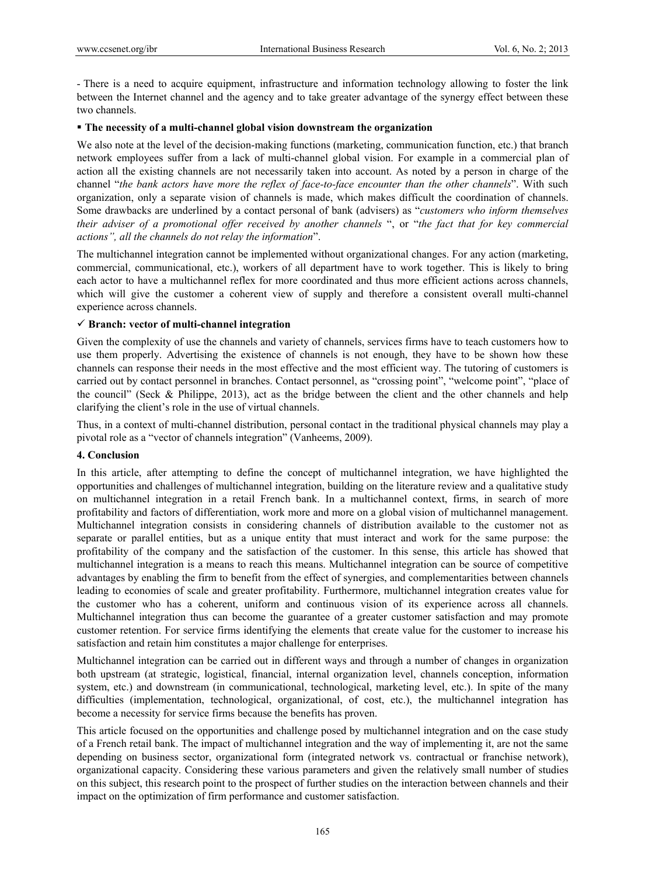- There is a need to acquire equipment, infrastructure and information technology allowing to foster the link between the Internet channel and the agency and to take greater advantage of the synergy effect between these two channels.

## **The necessity of a multi-channel global vision downstream the organization**

We also note at the level of the decision-making functions (marketing, communication function, etc.) that branch network employees suffer from a lack of multi-channel global vision. For example in a commercial plan of action all the existing channels are not necessarily taken into account. As noted by a person in charge of the channel "*the bank actors have more the reflex of face-to-face encounter than the other channels*". With such organization, only a separate vision of channels is made, which makes difficult the coordination of channels. Some drawbacks are underlined by a contact personal of bank (advisers) as "*customers who inform themselves their adviser of a promotional offer received by another channels* ", or "*the fact that for key commercial actions", all the channels do not relay the information*".

The multichannel integration cannot be implemented without organizational changes. For any action (marketing, commercial, communicational, etc.), workers of all department have to work together. This is likely to bring each actor to have a multichannel reflex for more coordinated and thus more efficient actions across channels, which will give the customer a coherent view of supply and therefore a consistent overall multi-channel experience across channels.

#### **Branch: vector of multi-channel integration**

Given the complexity of use the channels and variety of channels, services firms have to teach customers how to use them properly. Advertising the existence of channels is not enough, they have to be shown how these channels can response their needs in the most effective and the most efficient way. The tutoring of customers is carried out by contact personnel in branches. Contact personnel, as "crossing point", "welcome point", "place of the council" (Seck & Philippe, 2013), act as the bridge between the client and the other channels and help clarifying the client's role in the use of virtual channels.

Thus, in a context of multi-channel distribution, personal contact in the traditional physical channels may play a pivotal role as a "vector of channels integration" (Vanheems, 2009).

## **4. Conclusion**

In this article, after attempting to define the concept of multichannel integration, we have highlighted the opportunities and challenges of multichannel integration, building on the literature review and a qualitative study on multichannel integration in a retail French bank. In a multichannel context, firms, in search of more profitability and factors of differentiation, work more and more on a global vision of multichannel management. Multichannel integration consists in considering channels of distribution available to the customer not as separate or parallel entities, but as a unique entity that must interact and work for the same purpose: the profitability of the company and the satisfaction of the customer. In this sense, this article has showed that multichannel integration is a means to reach this means. Multichannel integration can be source of competitive advantages by enabling the firm to benefit from the effect of synergies, and complementarities between channels leading to economies of scale and greater profitability. Furthermore, multichannel integration creates value for the customer who has a coherent, uniform and continuous vision of its experience across all channels. Multichannel integration thus can become the guarantee of a greater customer satisfaction and may promote customer retention. For service firms identifying the elements that create value for the customer to increase his satisfaction and retain him constitutes a major challenge for enterprises.

Multichannel integration can be carried out in different ways and through a number of changes in organization both upstream (at strategic, logistical, financial, internal organization level, channels conception, information system, etc.) and downstream (in communicational, technological, marketing level, etc.). In spite of the many difficulties (implementation, technological, organizational, of cost, etc.), the multichannel integration has become a necessity for service firms because the benefits has proven.

This article focused on the opportunities and challenge posed by multichannel integration and on the case study of a French retail bank. The impact of multichannel integration and the way of implementing it, are not the same depending on business sector, organizational form (integrated network vs. contractual or franchise network), organizational capacity. Considering these various parameters and given the relatively small number of studies on this subject, this research point to the prospect of further studies on the interaction between channels and their impact on the optimization of firm performance and customer satisfaction.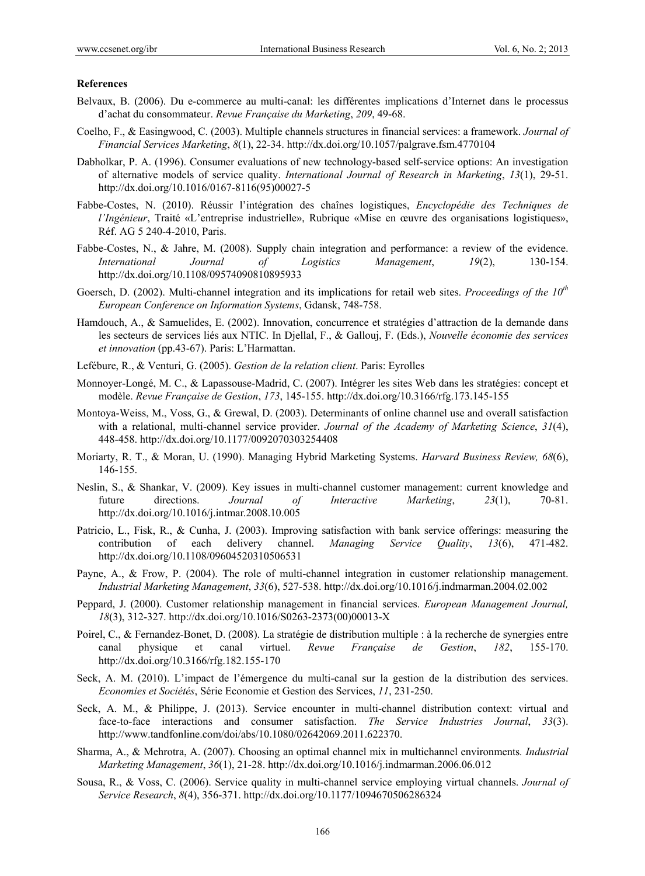#### **References**

- Belvaux, B. (2006). Du e-commerce au multi-canal: les différentes implications d'Internet dans le processus d'achat du consommateur. *Revue Française du Marketing*, *209*, 49-68.
- Coelho, F., & Easingwood, C. (2003). Multiple channels structures in financial services: a framework. *Journal of Financial Services Marketing*, *8*(1), 22-34. http://dx.doi.org/10.1057/palgrave.fsm.4770104
- Dabholkar, P. A. (1996). Consumer evaluations of new technology-based self-service options: An investigation of alternative models of service quality. *International Journal of Research in Marketing*, *13*(1), 29-51. http://dx.doi.org/10.1016/0167-8116(95)00027-5
- Fabbe-Costes, N. (2010). Réussir l'intégration des chaînes logistiques, *Encyclopédie des Techniques de l'Ingénieur*, Traité «L'entreprise industrielle», Rubrique «Mise en œuvre des organisations logistiques», Réf. AG 5 240-4-2010, Paris.
- Fabbe-Costes, N., & Jahre, M. (2008). Supply chain integration and performance: a review of the evidence. *International Journal of Logistics Management*, *19*(2), 130-154. http://dx.doi.org/10.1108/09574090810895933
- Goersch, D. (2002). Multi-channel integration and its implications for retail web sites. *Proceedings of the 10th European Conference on Information Systems*, Gdansk, 748-758.
- Hamdouch, A., & Samuelides, E. (2002). Innovation, concurrence et stratégies d'attraction de la demande dans les secteurs de services liés aux NTIC. In Djellal, F., & Gallouj, F. (Eds.), *Nouvelle économie des services et innovation* (pp.43-67). Paris: L'Harmattan.
- Lefébure, R., & Venturi, G. (2005). *Gestion de la relation client*. Paris: Eyrolles
- Monnoyer-Longé, M. C., & Lapassouse-Madrid, C. (2007). Intégrer les sites Web dans les stratégies: concept et modèle. *Revue Française de Gestion*, *173*, 145-155. http://dx.doi.org/10.3166/rfg.173.145-155
- Montoya-Weiss, M., Voss, G., & Grewal, D. (2003). Determinants of online channel use and overall satisfaction with a relational, multi-channel service provider. *Journal of the Academy of Marketing Science*, *31*(4), 448-458. http://dx.doi.org/10.1177/0092070303254408
- Moriarty, R. T., & Moran, U. (1990). Managing Hybrid Marketing Systems. *Harvard Business Review, 68*(6), 146-155.
- Neslin, S., & Shankar, V. (2009). Key issues in multi-channel customer management: current knowledge and future directions. *Journal of Interactive Marketing*, *23*(1), 70-81. http://dx.doi.org/10.1016/j.intmar.2008.10.005
- Patricio, L., Fisk, R., & Cunha, J. (2003). Improving satisfaction with bank service offerings: measuring the contribution of each delivery channel. *Managing Service Quality*, *13*(6), 471-482. http://dx.doi.org/10.1108/09604520310506531
- Payne, A., & Frow, P. (2004). The role of multi-channel integration in customer relationship management. *Industrial Marketing Management*, *33*(6), 527-538. http://dx.doi.org/10.1016/j.indmarman.2004.02.002
- Peppard, J. (2000). Customer relationship management in financial services. *European Management Journal, 18*(3), 312-327. http://dx.doi.org/10.1016/S0263-2373(00)00013-X
- Poirel, C., & Fernandez-Bonet, D. (2008). La stratégie de distribution multiple : à la recherche de synergies entre canal physique et canal virtuel. *Revue Française de Gestion*, *182*, 155-170. http://dx.doi.org/10.3166/rfg.182.155-170
- Seck, A. M. (2010). L'impact de l'émergence du multi-canal sur la gestion de la distribution des services. *Economies et Sociétés*, Série Economie et Gestion des Services, *11*, 231-250.
- Seck, A. M., & Philippe, J. (2013). Service encounter in multi-channel distribution context: virtual and face-to-face interactions and consumer satisfaction. *The Service Industries Journal*, *33*(3). http://www.tandfonline.com/doi/abs/10.1080/02642069.2011.622370.
- Sharma, A., & Mehrotra, A. (2007). Choosing an optimal channel mix in multichannel environments*. Industrial Marketing Management*, *36*(1), 21-28. http://dx.doi.org/10.1016/j.indmarman.2006.06.012
- Sousa, R., & Voss, C. (2006). Service quality in multi-channel service employing virtual channels. *Journal of Service Research*, *8*(4), 356-371. http://dx.doi.org/10.1177/1094670506286324